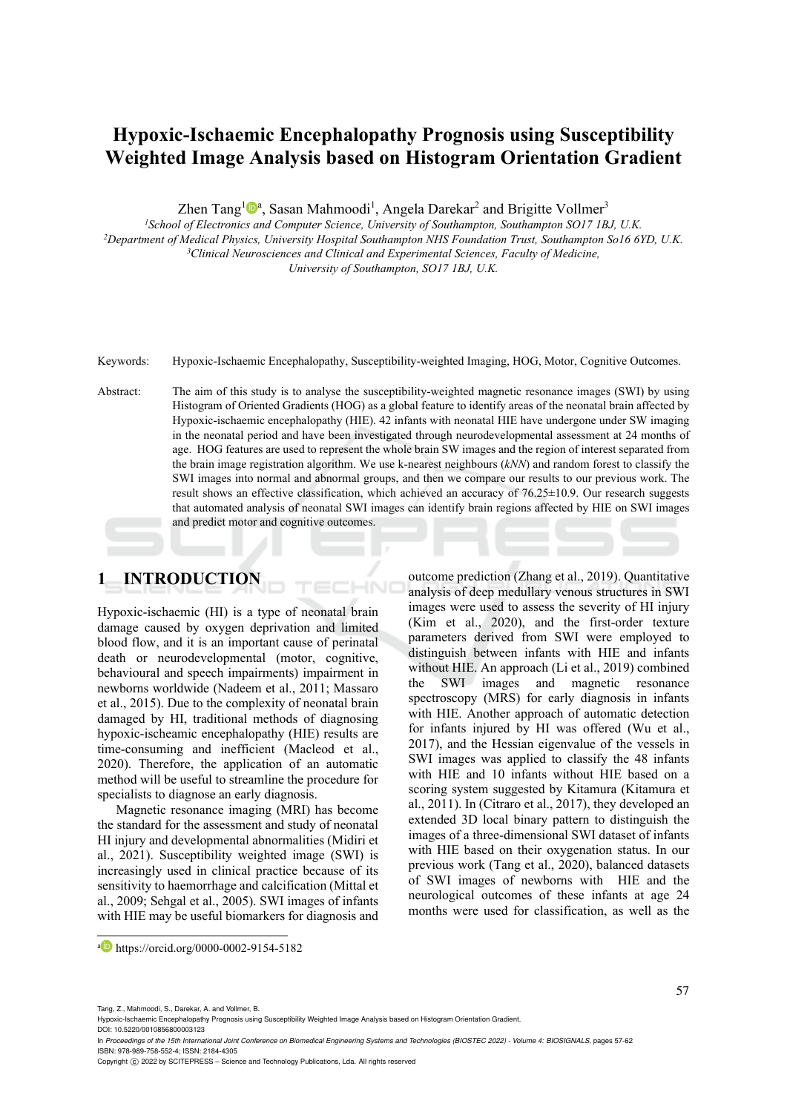# **Hypoxic-Ischaemic Encephalopathy Prognosis using Susceptibility Weighted Image Analysis based on Histogram Orientation Gradient**

Zhen Tang<sup>1</sup><sup>0</sup>ª, Sasan Mahmoodi<sup>1</sup>, Angela Darekar<sup>2</sup> and Brigitte Vollmer<sup>3</sup>

<sup>1</sup>School of Electronics and Computer Science, University of Southampton, Southampton SO17 1BJ, U.K.<br><sup>2</sup>Department of Medical Physics, University Hospital Southampton NHS Foundation Trust, Southampton So16 6YD, U.K.<br><sup>3</sup>Cl

*University of Southampton, SO17 1BJ, U.K.* 

- Keywords: Hypoxic-Ischaemic Encephalopathy, Susceptibility-weighted Imaging, HOG, Motor, Cognitive Outcomes.
- Abstract: The aim of this study is to analyse the susceptibility-weighted magnetic resonance images (SWI) by using Histogram of Oriented Gradients (HOG) as a global feature to identify areas of the neonatal brain affected by Hypoxic-ischaemic encephalopathy (HIE). 42 infants with neonatal HIE have undergone under SW imaging in the neonatal period and have been investigated through neurodevelopmental assessment at 24 months of age. HOG features are used to represent the whole brain SW images and the region of interest separated from the brain image registration algorithm. We use k-nearest neighbours (*kNN*) and random forest to classify the SWI images into normal and abnormal groups, and then we compare our results to our previous work. The result shows an effective classification, which achieved an accuracy of 76.25±10.9. Our research suggests that automated analysis of neonatal SWI images can identify brain regions affected by HIE on SWI images and predict motor and cognitive outcomes.

# **1 INTRODUCTION**

Hypoxic-ischaemic (HI) is a type of neonatal brain damage caused by oxygen deprivation and limited blood flow, and it is an important cause of perinatal death or neurodevelopmental (motor, cognitive, behavioural and speech impairments) impairment in newborns worldwide (Nadeem et al., 2011; Massaro et al., 2015). Due to the complexity of neonatal brain damaged by HI, traditional methods of diagnosing hypoxic-ischeamic encephalopathy (HIE) results are time-consuming and inefficient (Macleod et al., 2020). Therefore, the application of an automatic method will be useful to streamline the procedure for specialists to diagnose an early diagnosis.

Magnetic resonance imaging (MRI) has become the standard for the assessment and study of neonatal HI injury and developmental abnormalities (Midiri et al., 2021). Susceptibility weighted image (SWI) is increasingly used in clinical practice because of its sensitivity to haemorrhage and calcification (Mittal et al., 2009; Sehgal et al., 2005). SWI images of infants with HIE may be useful biomarkers for diagnosis and

outcome prediction (Zhang et al., 2019). Quantitative analysis of deep medullary venous structures in SWI images were used to assess the severity of HI injury (Kim et al., 2020), and the first-order texture parameters derived from SWI were employed to distinguish between infants with HIE and infants without HIE. An approach (Li et al., 2019) combined the SWI images and magnetic resonance spectroscopy (MRS) for early diagnosis in infants with HIE. Another approach of automatic detection for infants injured by HI was offered (Wu et al., 2017), and the Hessian eigenvalue of the vessels in SWI images was applied to classify the 48 infants with HIE and 10 infants without HIE based on a scoring system suggested by Kitamura (Kitamura et al., 2011). In (Citraro et al., 2017), they developed an extended 3D local binary pattern to distinguish the images of a three-dimensional SWI dataset of infants with HIE based on their oxygenation status. In our previous work (Tang et al., 2020), balanced datasets of SWI images of newborns with HIE and the neurological outcomes of these infants at age 24 months were used for classification, as well as the

Tang, Z., Mahmoodi, S., Darekar, A. and Vollmer, B.

DOI: 10.5220/0010856800003123

In *Proceedings of the 15th International Joint Conference on Biomedical Engineering Systems and Technologies (BIOSTEC 2022) - Volume 4: BIOSIGNALS*, pages 57-62 ISBN: 978-989-758-552-4; ISSN: 2184-4305

a https://orcid.org/0000-0002-9154-5182

Hypoxic-Ischaemic Encephalopathy Prognosis using Susceptibility Weighted Image Analysis based on Histogram Orientation Gradient.

Copyright (C) 2022 by SCITEPRESS - Science and Technology Publications, Lda. All rights reserved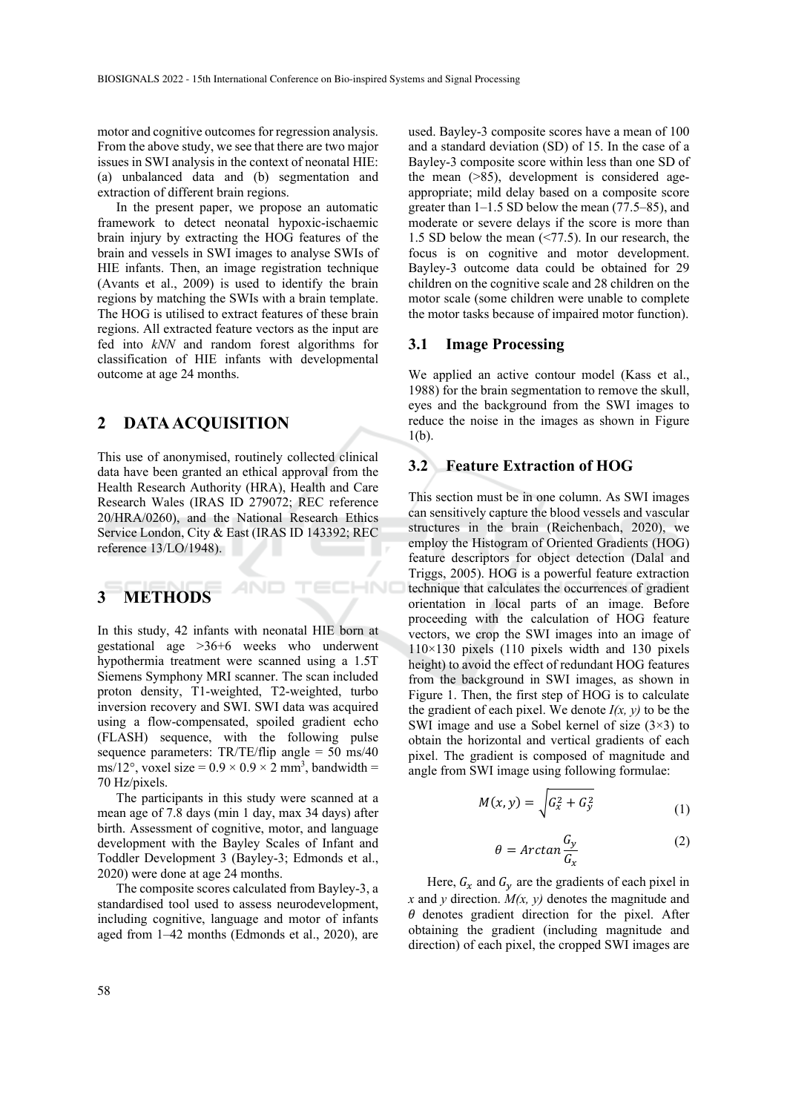motor and cognitive outcomes for regression analysis. From the above study, we see that there are two major issues in SWI analysis in the context of neonatal HIE: (a) unbalanced data and (b) segmentation and extraction of different brain regions.

In the present paper, we propose an automatic framework to detect neonatal hypoxic-ischaemic brain injury by extracting the HOG features of the brain and vessels in SWI images to analyse SWIs of HIE infants. Then, an image registration technique (Avants et al., 2009) is used to identify the brain regions by matching the SWIs with a brain template. The HOG is utilised to extract features of these brain regions. All extracted feature vectors as the input are fed into *kNN* and random forest algorithms for classification of HIE infants with developmental outcome at age 24 months.

### **2 DATA ACQUISITION**

This use of anonymised, routinely collected clinical data have been granted an ethical approval from the Health Research Authority (HRA), Health and Care Research Wales (IRAS ID 279072; REC reference 20/HRA/0260), and the National Research Ethics Service London, City & East (IRAS ID 143392; REC reference 13/LO/1948).

AND

**IHNO** 

# **3 METHODS**

In this study, 42 infants with neonatal HIE born at gestational age >36+6 weeks who underwent hypothermia treatment were scanned using a 1.5T Siemens Symphony MRI scanner. The scan included proton density, T1-weighted, T2-weighted, turbo inversion recovery and SWI. SWI data was acquired using a flow-compensated, spoiled gradient echo (FLASH) sequence, with the following pulse sequence parameters:  $TR/TE/flip$  angle = 50 ms/40 ms/12°, voxel size =  $0.9 \times 0.9 \times 2$  mm<sup>3</sup>, bandwidth = 70 Hz/pixels.

The participants in this study were scanned at a mean age of 7.8 days (min 1 day, max 34 days) after birth. Assessment of cognitive, motor, and language development with the Bayley Scales of Infant and Toddler Development 3 (Bayley-3; Edmonds et al., 2020) were done at age 24 months.

The composite scores calculated from Bayley-3, a standardised tool used to assess neurodevelopment, including cognitive, language and motor of infants aged from 1–42 months (Edmonds et al., 2020), are

used. Bayley-3 composite scores have a mean of 100 and a standard deviation (SD) of 15. In the case of a Bayley-3 composite score within less than one SD of the mean (>85), development is considered ageappropriate; mild delay based on a composite score greater than 1–1.5 SD below the mean (77.5–85), and moderate or severe delays if the score is more than 1.5 SD below the mean (<77.5). In our research, the focus is on cognitive and motor development. Bayley-3 outcome data could be obtained for 29 children on the cognitive scale and 28 children on the motor scale (some children were unable to complete the motor tasks because of impaired motor function).

#### **3.1 Image Processing**

We applied an active contour model (Kass et al., 1988) for the brain segmentation to remove the skull, eyes and the background from the SWI images to reduce the noise in the images as shown in Figure 1(b).

#### **3.2 Feature Extraction of HOG**

This section must be in one column. As SWI images can sensitively capture the blood vessels and vascular structures in the brain (Reichenbach, 2020), we employ the Histogram of Oriented Gradients (HOG) feature descriptors for object detection (Dalal and Triggs, 2005). HOG is a powerful feature extraction technique that calculates the occurrences of gradient orientation in local parts of an image. Before proceeding with the calculation of HOG feature vectors, we crop the SWI images into an image of  $110\times130$  pixels (110 pixels width and 130 pixels height) to avoid the effect of redundant HOG features from the background in SWI images, as shown in Figure 1. Then, the first step of HOG is to calculate the gradient of each pixel. We denote  $I(x, y)$  to be the SWI image and use a Sobel kernel of size  $(3\times3)$  to obtain the horizontal and vertical gradients of each pixel. The gradient is composed of magnitude and angle from SWI image using following formulae:

$$
M(x, y) = \sqrt{G_x^2 + G_y^2}
$$
 (1)

$$
\theta = \arctan \frac{G_y}{G_x} \tag{2}
$$

Here,  $G_x$  and  $G_y$  are the gradients of each pixel in *x* and *y* direction.  $M(x, y)$  denotes the magnitude and  $\theta$  denotes gradient direction for the pixel. After obtaining the gradient (including magnitude and direction) of each pixel, the cropped SWI images are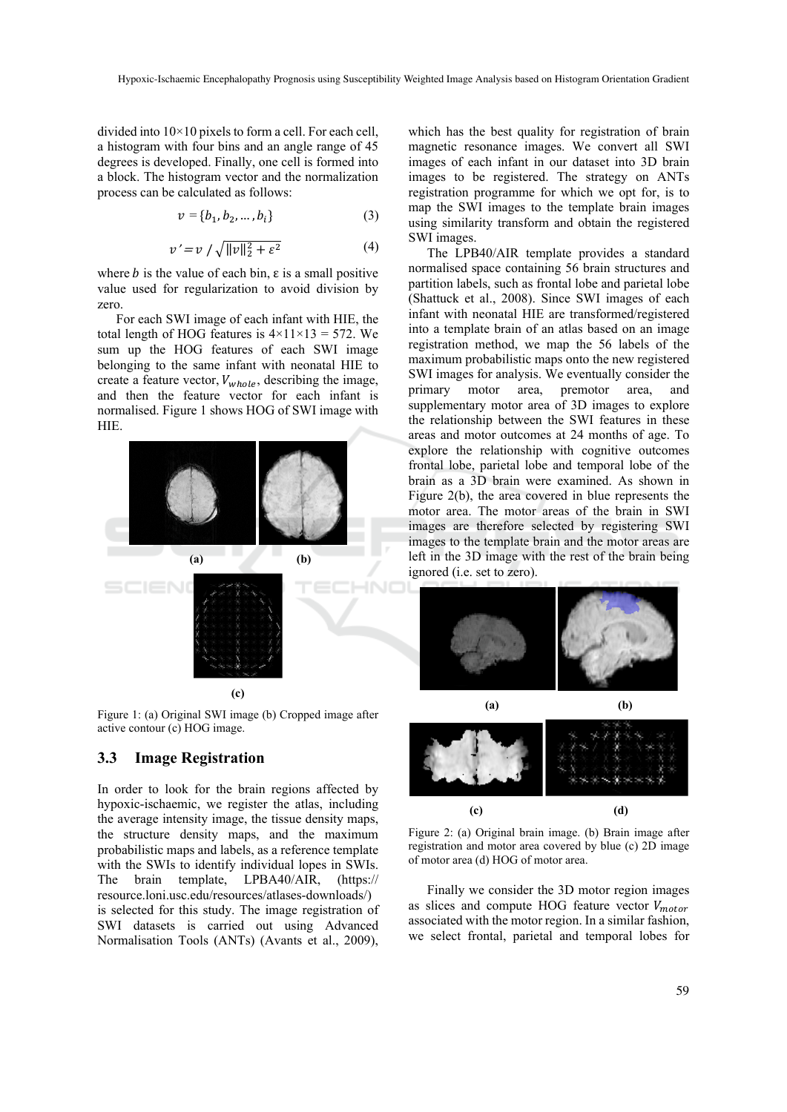divided into 10×10 pixels to form a cell. For each cell, a histogram with four bins and an angle range of 45 degrees is developed. Finally, one cell is formed into a block. The histogram vector and the normalization process can be calculated as follows:

$$
v = \{b_1, b_2, \dots, b_i\}
$$
 (3)

$$
v' = v / \sqrt{\|v\|_2^2 + \varepsilon^2} \tag{4}
$$

where *b* is the value of each bin,  $\varepsilon$  is a small positive value used for regularization to avoid division by zero.

For each SWI image of each infant with HIE, the total length of HOG features is  $4 \times 11 \times 13 = 572$ . We sum up the HOG features of each SWI image belonging to the same infant with neonatal HIE to create a feature vector,  $V_{whole}$ , describing the image, and then the feature vector for each infant is normalised. Figure 1 shows HOG of SWI image with HIE.



Figure 1: (a) Original SWI image (b) Cropped image after active contour (c) HOG image.

### **3.3 Image Registration**

In order to look for the brain regions affected by hypoxic-ischaemic, we register the atlas, including the average intensity image, the tissue density maps, the structure density maps, and the maximum probabilistic maps and labels, as a reference template with the SWIs to identify individual lopes in SWIs. The brain template, LPBA40/AIR, (https:// resource.loni.usc.edu/resources/atlases-downloads/) is selected for this study. The image registration of SWI datasets is carried out using Advanced Normalisation Tools (ANTs) (Avants et al., 2009),

which has the best quality for registration of brain magnetic resonance images. We convert all SWI images of each infant in our dataset into 3D brain images to be registered. The strategy on ANTs registration programme for which we opt for, is to map the SWI images to the template brain images using similarity transform and obtain the registered SWI images.

The LPB40/AIR template provides a standard normalised space containing 56 brain structures and partition labels, such as frontal lobe and parietal lobe (Shattuck et al., 2008). Since SWI images of each infant with neonatal HIE are transformed/registered into a template brain of an atlas based on an image registration method, we map the 56 labels of the maximum probabilistic maps onto the new registered SWI images for analysis. We eventually consider the primary motor area, premotor area, and supplementary motor area of 3D images to explore the relationship between the SWI features in these areas and motor outcomes at 24 months of age. To explore the relationship with cognitive outcomes frontal lobe, parietal lobe and temporal lobe of the brain as a 3D brain were examined. As shown in Figure 2(b), the area covered in blue represents the motor area. The motor areas of the brain in SWI images are therefore selected by registering SWI images to the template brain and the motor areas are left in the 3D image with the rest of the brain being ignored (i.e. set to zero).





Figure 2: (a) Original brain image. (b) Brain image after registration and motor area covered by blue (c) 2D image of motor area (d) HOG of motor area.

Finally we consider the 3D motor region images as slices and compute HOG feature vector  $V_{motor}$ associated with the motor region. In a similar fashion, we select frontal, parietal and temporal lobes for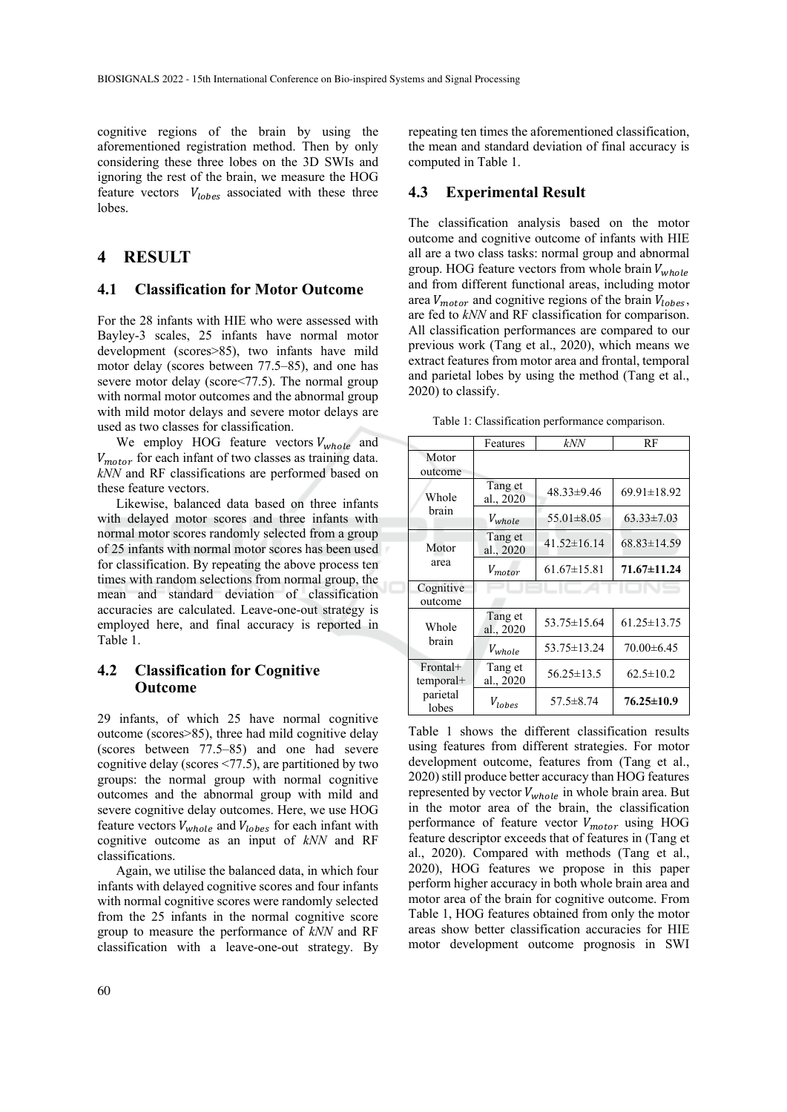cognitive regions of the brain by using the aforementioned registration method. Then by only considering these three lobes on the 3D SWIs and ignoring the rest of the brain, we measure the HOG feature vectors  $V_{lobes}$  associated with these three lobes.

## **4 RESULT**

### **4.1 Classification for Motor Outcome**

For the 28 infants with HIE who were assessed with Bayley-3 scales, 25 infants have normal motor development (scores>85), two infants have mild motor delay (scores between 77.5–85), and one has severe motor delay (score<77.5). The normal group with normal motor outcomes and the abnormal group with mild motor delays and severe motor delays are used as two classes for classification.

We employ HOG feature vectors  $V_{whole}$  and  $V_{motor}$  for each infant of two classes as training data. *kNN* and RF classifications are performed based on these feature vectors.

Likewise, balanced data based on three infants with delayed motor scores and three infants with normal motor scores randomly selected from a group of 25 infants with normal motor scores has been used for classification. By repeating the above process ten times with random selections from normal group, the mean and standard deviation of classification accuracies are calculated. Leave-one-out strategy is employed here, and final accuracy is reported in Table 1.

## **4.2 Classification for Cognitive Outcome**

29 infants, of which 25 have normal cognitive outcome (scores>85), three had mild cognitive delay (scores between 77.5–85) and one had severe cognitive delay (scores <77.5), are partitioned by two groups: the normal group with normal cognitive outcomes and the abnormal group with mild and severe cognitive delay outcomes. Here, we use HOG feature vectors  $V_{whole}$  and  $V_{lobes}$  for each infant with cognitive outcome as an input of *kNN* and RF classifications.

Again, we utilise the balanced data, in which four infants with delayed cognitive scores and four infants with normal cognitive scores were randomly selected from the 25 infants in the normal cognitive score group to measure the performance of *kNN* and RF classification with a leave-one-out strategy. By repeating ten times the aforementioned classification, the mean and standard deviation of final accuracy is computed in Table 1.

#### **4.3 Experimental Result**

The classification analysis based on the motor outcome and cognitive outcome of infants with HIE all are a two class tasks: normal group and abnormal group. HOG feature vectors from whole brain  $V_{whole}$ and from different functional areas, including motor area  $V_{motor}$  and cognitive regions of the brain  $V_{lobes}$ , are fed to *kNN* and RF classification for comparison. All classification performances are compared to our previous work (Tang et al., 2020), which means we extract features from motor area and frontal, temporal and parietal lobes by using the method (Tang et al., 2020) to classify.

Table 1: Classification performance comparison.

|                         | Features             | kNN               | RF                |
|-------------------------|----------------------|-------------------|-------------------|
| Motor<br>outcome        |                      |                   |                   |
|                         |                      |                   |                   |
| Whole<br>brain          | Tang et<br>al., 2020 | $48.33 \pm 9.46$  | $69.91 \pm 18.92$ |
|                         | $V_{whole}$          | $55.01 \pm 8.05$  | $63.33 \pm 7.03$  |
| Motor<br>area           | Tang et<br>al., 2020 | $41.52 \pm 16.14$ | $68.83 \pm 14.59$ |
|                         | $V_{motor}$          | $61.67 \pm 15.81$ | 71.67±11.24       |
| Cognitive               |                      |                   |                   |
| outcome                 |                      |                   |                   |
| Whole<br>hrain          | Tang et<br>al., 2020 | $53.75 \pm 15.64$ | $61.25 \pm 13.75$ |
|                         | $V_{whole}$          | 53.75 ± 13.24     | $70.00 \pm 6.45$  |
| Frontal+<br>$temporal+$ | Tang et<br>al., 2020 | $56.25 \pm 13.5$  | $62.5 \pm 10.2$   |
| parietal<br>lobes       | $V_{lobes}$          | $57.5 \pm 8.74$   | $76.25 \pm 10.9$  |

Table 1 shows the different classification results using features from different strategies. For motor development outcome, features from (Tang et al., 2020) still produce better accuracy than HOG features represented by vector  $V_{whole}$  in whole brain area. But in the motor area of the brain, the classification performance of feature vector  $V_{motor}$  using HOG feature descriptor exceeds that of features in (Tang et al., 2020). Compared with methods (Tang et al., 2020), HOG features we propose in this paper perform higher accuracy in both whole brain area and motor area of the brain for cognitive outcome. From Table 1, HOG features obtained from only the motor areas show better classification accuracies for HIE motor development outcome prognosis in SWI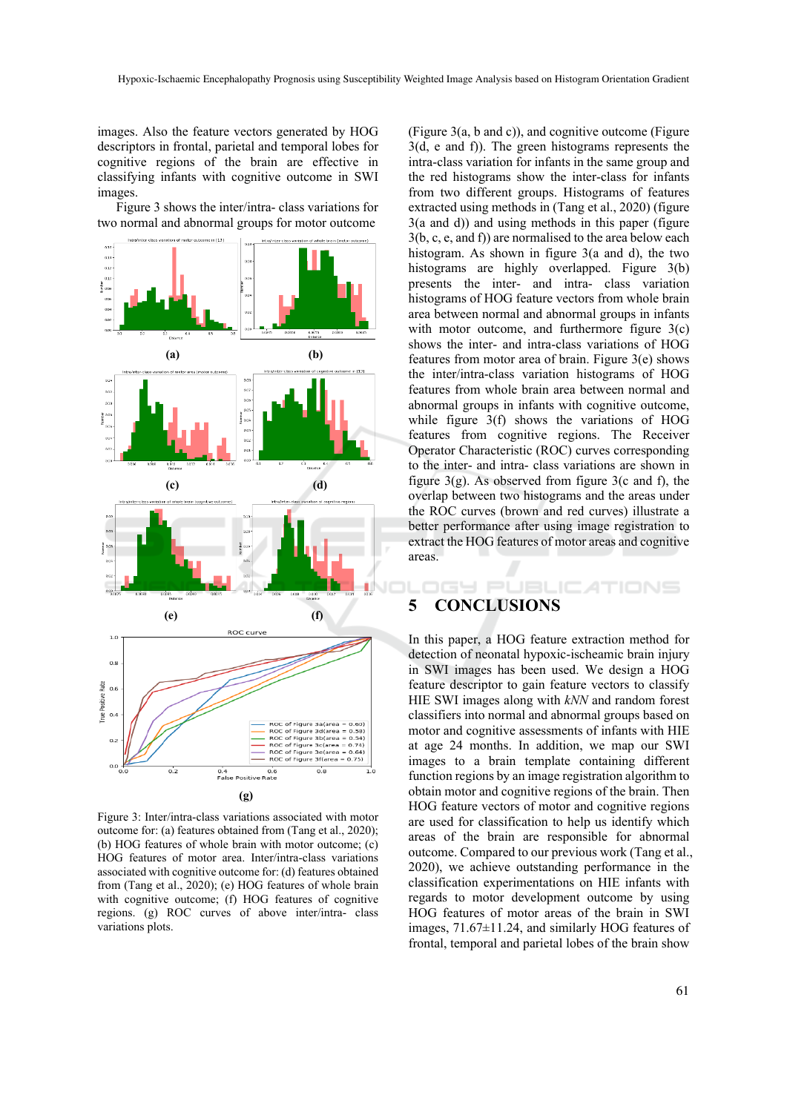images. Also the feature vectors generated by HOG descriptors in frontal, parietal and temporal lobes for cognitive regions of the brain are effective in classifying infants with cognitive outcome in SWI images.

Figure 3 shows the inter/intra- class variations for two normal and abnormal groups for motor outcome



Figure 3: Inter/intra-class variations associated with motor outcome for: (a) features obtained from (Tang et al., 2020); (b) HOG features of whole brain with motor outcome; (c) HOG features of motor area. Inter/intra-class variations associated with cognitive outcome for: (d) features obtained from (Tang et al., 2020); (e) HOG features of whole brain with cognitive outcome; (f) HOG features of cognitive regions. (g) ROC curves of above inter/intra- class variations plots.

(Figure 3(a, b and c)), and cognitive outcome (Figure 3(d, e and f)). The green histograms represents the intra-class variation for infants in the same group and the red histograms show the inter-class for infants from two different groups. Histograms of features extracted using methods in (Tang et al., 2020) (figure 3(a and d)) and using methods in this paper (figure 3(b, c, e, and f)) are normalised to the area below each histogram. As shown in figure 3(a and d), the two histograms are highly overlapped. Figure 3(b) presents the inter- and intra- class variation histograms of HOG feature vectors from whole brain area between normal and abnormal groups in infants with motor outcome, and furthermore figure 3(c) shows the inter- and intra-class variations of HOG features from motor area of brain. Figure 3(e) shows the inter/intra-class variation histograms of HOG features from whole brain area between normal and abnormal groups in infants with cognitive outcome, while figure 3(f) shows the variations of HOG features from cognitive regions. The Receiver Operator Characteristic (ROC) curves corresponding to the inter- and intra- class variations are shown in figure  $3(g)$ . As observed from figure  $3(c \text{ and } f)$ , the overlap between two histograms and the areas under the ROC curves (brown and red curves) illustrate a better performance after using image registration to extract the HOG features of motor areas and cognitive areas.

## **5 CONCLUSIONS**

In this paper, a HOG feature extraction method for detection of neonatal hypoxic-ischeamic brain injury in SWI images has been used. We design a HOG feature descriptor to gain feature vectors to classify HIE SWI images along with *kNN* and random forest classifiers into normal and abnormal groups based on motor and cognitive assessments of infants with HIE at age 24 months. In addition, we map our SWI images to a brain template containing different function regions by an image registration algorithm to obtain motor and cognitive regions of the brain. Then HOG feature vectors of motor and cognitive regions are used for classification to help us identify which areas of the brain are responsible for abnormal outcome. Compared to our previous work (Tang et al., 2020), we achieve outstanding performance in the classification experimentations on HIE infants with regards to motor development outcome by using HOG features of motor areas of the brain in SWI images, 71.67±11.24, and similarly HOG features of frontal, temporal and parietal lobes of the brain show

**IGY PUBLICATIONS**